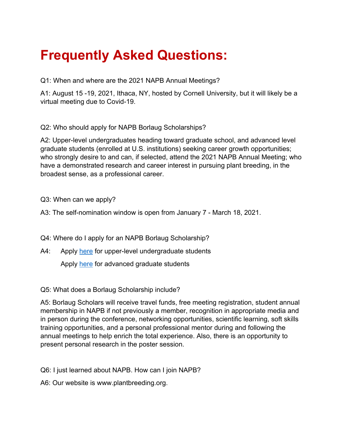## **Frequently Asked Questions:**

Q1: When and where are the 2021 NAPB Annual Meetings?

A1: August 15 -19, 2021, Ithaca, NY, hosted by Cornell University, but it will likely be a virtual meeting due to Covid-19.

Q2: Who should apply for NAPB Borlaug Scholarships?

A2: Upper-level undergraduates heading toward graduate school, and advanced level graduate students (enrolled at U.S. institutions) seeking career growth opportunities; who strongly desire to and can, if selected, attend the 2021 NAPB Annual Meeting; who have a demonstrated research and career interest in pursuing plant breeding, in the broadest sense, as a professional career.

Q3: When can we apply?

A3: The self-nomination window is open from January 7 - March 18, 2021.

Q4: Where do I apply for an NAPB Borlaug Scholarship?

A4: Apply here for upper-level undergraduate students

Apply here for advanced graduate students

Q5: What does a Borlaug Scholarship include?

A5: Borlaug Scholars will receive travel funds, free meeting registration, student annual membership in NAPB if not previously a member, recognition in appropriate media and in person during the conference, networking opportunities, scientific learning, soft skills training opportunities, and a personal professional mentor during and following the annual meetings to help enrich the total experience. Also, there is an opportunity to present personal research in the poster session.

Q6: I just learned about NAPB. How can I join NAPB?

A6: Our website is www.plantbreeding.org.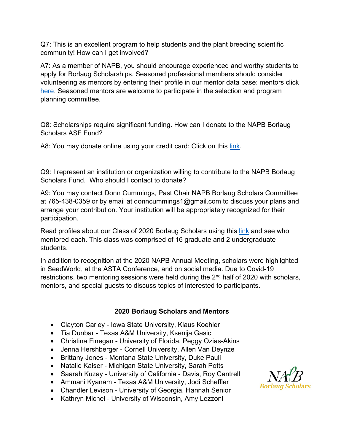Q7: This is an excellent program to help students and the plant breeding scientific community! How can I get involved?

A7: As a member of NAPB, you should encourage experienced and worthy students to apply for Borlaug Scholarships. Seasoned professional members should consider volunteering as mentors by entering their profile in our mentor data base: mentors click here. Seasoned mentors are welcome to participate in the selection and program planning committee.

Q8: Scholarships require significant funding. How can I donate to the NAPB Borlaug Scholars ASF Fund?

A8: You may donate online using your credit card: Click on this link.

Q9: I represent an institution or organization willing to contribute to the NAPB Borlaug Scholars Fund. Who should I contact to donate?

A9: You may contact Donn Cummings, Past Chair NAPB Borlaug Scholars Committee at 765-438-0359 or by email at donncummings1@gmail.com to discuss your plans and arrange your contribution. Your institution will be appropriately recognized for their participation.

Read profiles about our Class of 2020 Borlaug Scholars using this link and see who mentored each. This class was comprised of 16 graduate and 2 undergraduate students.

In addition to recognition at the 2020 NAPB Annual Meeting, scholars were highlighted in SeedWorld, at the ASTA Conference, and on social media. Due to Covid-19 restrictions, two mentoring sessions were held during the  $2<sup>nd</sup>$  half of 2020 with scholars, mentors, and special guests to discuss topics of interested to participants.

## **2020 Borlaug Scholars and Mentors**

- Clayton Carley Iowa State University, Klaus Koehler
- Tia Dunbar Texas A&M University, Ksenija Gasic
- Christina Finegan University of Florida, Peggy Ozias-Akins
- Jenna Hershberger Cornell University, Allen Van Deynze
- Brittany Jones Montana State University, Duke Pauli
- Natalie Kaiser Michigan State University, Sarah Potts
- Saarah Kuzay University of California Davis, Roy Cantrell
- Ammani Kyanam Texas A&M University, Jodi Scheffler
- Chandler Levison University of Georgia, Hannah Senior
- Kathryn Michel University of Wisconsin, Amy Lezzoni